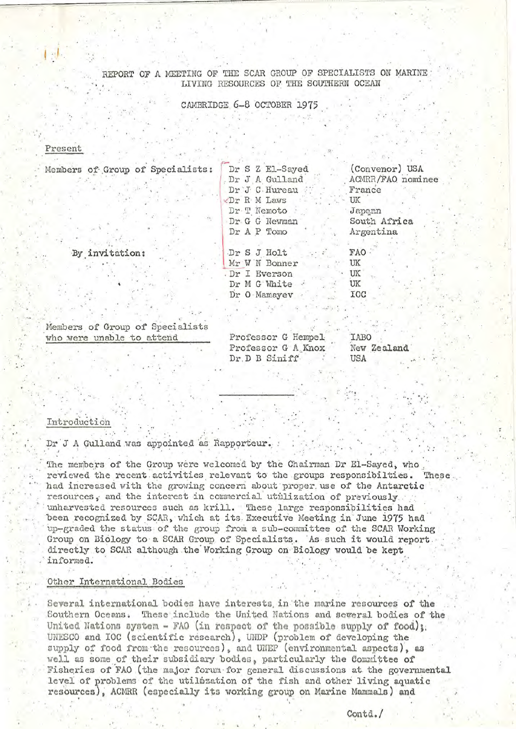REPORT OF A MEETING OF THE SCAR GROUP OF SPECIALISTS ON MARINE LIVING RESOURCES OF THE SOUTHERN OCEAN

CAMBRIDGE 6-8 OCTOBER 1975

#### Present

| Members of Group of Specialists: | Dr S Z El-Sayed | (Convenor) USA    |
|----------------------------------|-----------------|-------------------|
|                                  | Dr J A Gulland  | ACMRR/FAO nominee |
|                                  | Dr J C Hureau   | France            |
|                                  | Dr R M Laws     | UK                |
|                                  | Dr.T Nemoto     | Japon             |
|                                  | Dr G G Newman   | South Africa      |
|                                  | Dr A P Tomo     | Argentina         |
|                                  |                 |                   |
| By invitation:                   | Dr S J Holt     | FAO               |
|                                  | Mr W N Bonner   | UK                |
|                                  | Dr I Everson    | UK                |
|                                  | Dr M G White    | UK                |
|                                  | Dr O Mamayev    | IOC               |

Members of Group of Specialists who were unable to attend

Professor G Hempel **TABO** Professor G A Knox Dr.D B Siniff USA

New Zealand

# Introduction

Dr J A Gulland was appointed as Rapporteur.

The members of the Group were welcomed by the Chairman Dr El-Sayed, who reviewed the recent activities relevant to the groups responsibilties. These had increased with the growing concern about proper use of the Antarctic resources, and the interest in commercial utilization of previously unharvested resources such as krill. These large responsibilities had been recognized by SCAR, which at its Executive Meeting in June 1975 had up-graded the status of the group from a sub-committee of the SCAR Working Group on Biology to a SCAR Group of Specialists. As such it would report directly to SCAR although the Working Group on Biology would be kept informed.

### Other International Bodies

Several international bodies have interests in the marine resources of the Southern Oceans. These include the United Nations and several bodies of the United Nations system - FAO (in respect of the possible supply of food); UNESCO and IOC (scientific research), UNDP (problem of developing the supply of food from the resources), and UNEP (environmental aspects), as well as some of their subsidiary bodies, particularly the Committee of Fisheries of FAO (the major forum for general discussions at the governmental level of problems of the utilization of the fish and other living aquatic resources), ACMRR (especially its working group on Marine Mammals) and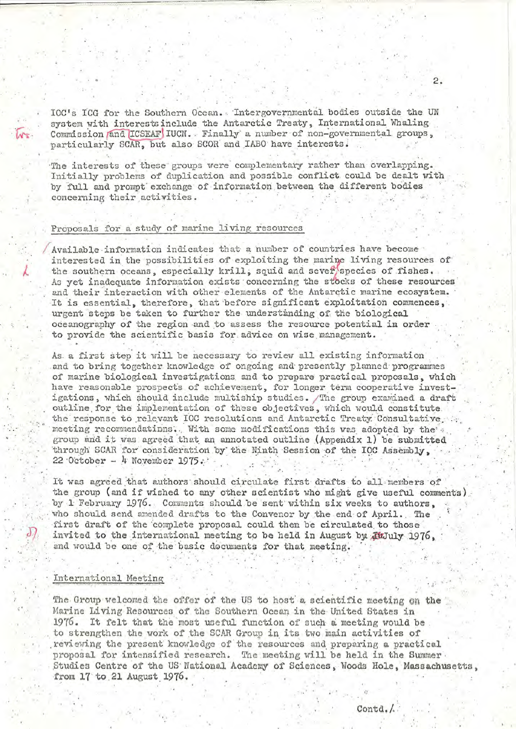IOC's ICG for the Southern Ocean. Intergovernmental bodies outside the UN system with interests include the Antarctic Treaty, International Whaling Commission and ICSEAF IUCN. Finally a number of non-governmental groups, particularly SCAR, but also SCOR and IABO have interests.

The interests of these groups were complementary rather than overlapping. Initially problems of duplication and possible conflict could be dealt with by full and prompt exchange of information between the different bodies concerning their activities.

# Proposals for a study of marine living resources

Available information indicates that a number of countries have become interested in the possibilities of exploiting the marine living resources of the southern oceans, especially krill, squid and sever species of fishes. As yet inadequate information exists concerning the stocks of these resources and their interaction with other elements of the Antarctic marine ecosystem. It is essential, therefore, that before significant exploitation commences, urgent steps be taken to further the understanding of the biological oceanography of the region and to assess the resource potential in order to provide the scientific basis for advice on wise management.

As a first step it will be necessary to review all existing information and to bring together knowledge of ongoing and presently planned programmes of marine biological investigations and to prepare practical proposals, which have reasonable prospects of achievement, for longer term cooperative investigations, which should include multiship studies. The group examined a draft outline for the implementation of these objectives, which would constitute the response to relevant IOC resolutions and Antarctic Treaty Consultative meeting recommendatinns. With some modifications this was adopted by the group and it was agreed that an annotated outline (Appendix 1) be submitted through SCAR for consideration by the Ninth Session of the IOC Assembly, 22 October - 4 November 1975.

It was agreed that authors should circulate first drafts to all members of the group (and if wished to any other scientist who might give useful comments). by 1 February 1976. Comments should be sent within six weeks to authors. who should send amended drafts to the Convenor by the end of April. The first draft of the complete proposal could then be circulated to those invited to the international meeting to be held in August by AuJuly 1976. and would be one of the basic documents for that meeting.

#### International Meeting

The Group welcomed the offer of the US to host a scientific meeting on the Marine Living Resources of the Southern Ocean in the United States in 1976. It felt that the most useful function of such a meeting would be. to strengthen the work of the SCAR Group in its two main activities of reviewing the present knowledge of the resources and preparing a practical proposal for intensified research. The meeting will be held in the Summer. Studies Centre of the US National Academy of Sciences, Woods Hole, Massachusetts, from 17 to 21 August 1976.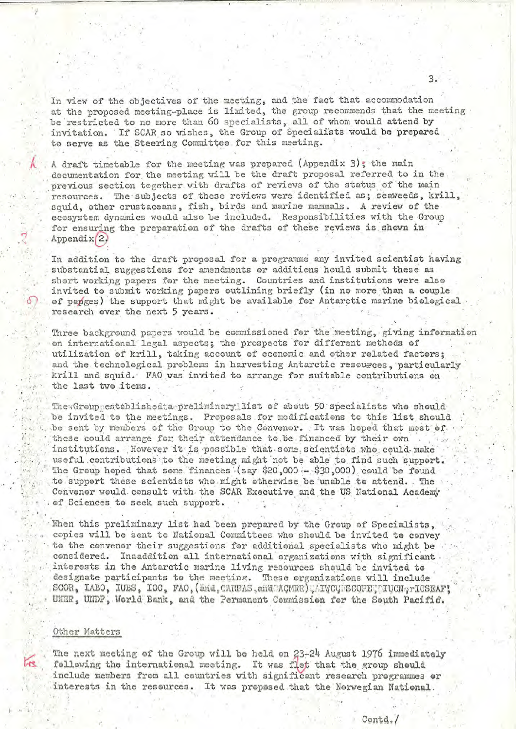In view of the objectives of the meeting, and the fact that accommodation at the proposed meeting-place is limited, the group recommends that the meeting be restricted to no more than 60 specialists, all of whom would attend by invitation. If SCAR so wishes, the Group of Specialists would be prepared to serve as the Steering Committee for this meeting.

A draft timetable for the meeting was prepared (Appendix 3); the main documentation for the meeting will be the draft proposal referred to in the previous section together with drafts of reviews of the status of the main resources. The subjects of these reviews were identified as; seaweeds, krill, squid, other crustaceans, fish, birds and marine mammals. A review of the ecosystem dynamics would also be included. Responsibilities with the Group for ensuring the preparation of the drafts of these reviews is shown in Appendix 2.

In addition to the draft proposal for a programme any invited scientist having substantial suggestions for amendments or additions hould submit these as short working papers for the meeting. Countries and institutions were also invited to submit working papers outlining briefly (in no more than a couple of papees) the support that might be available for Antarctic marine biological research over the next 5 years.

Three background papers would be commissioned for the meeting, giving information on international legal aspects; the prospects for different methods of utilization of krill, taking account of economic and other related factors; and the technological problems in harvesting Antarctic resources, particularly krill and squid. FAO was invited to arrange for suitable contributions on the last two items.

The Greup established a preliminaryllist of about 50 specialists who should be invited to the meetings. Proposals for modifications to this list should be sent by members of the Group to the Convenor. It was hoped that most of these could arrange for their attendance to be financed by their own institutions. However it is possible that some scientists who could make useful contributions to the meeting might not be able to find such support. The Group hoped that some finances (say \$20,000 - \$30,000) could be found to support these scientists who might otherwise be unable to attend. The Convener would consult with the SCAR Executive and the US National Academy of Sciences to seek such support.

Ehen this preliminary list had been prepared by the Group of Specialists, cepies will be sent to National Committees who should be invited to convey to the convenor their suggestions for additional specialists who might be considered. Inaaddition all international organizations with significant interests in the Antarctic marine living resources should be invited to designate participants to the meeting. These organizations will include SCOR, IABO, IUBS, IOC, FAO, (End, CARBAS, and ACMRR), IVCUMSCOPE TIUCN, TICSEAF! UNER, UNDP, World Bank, and the Permanent Commission for the South Pacific.

# Other Matters

The next meeting of the Group will be held on 23-24 August 1976 immediately following the international meeting. It was flet that the group should include members from all countries with significant research programmes or interests in the resources. It was proposed that the Norwegian National.